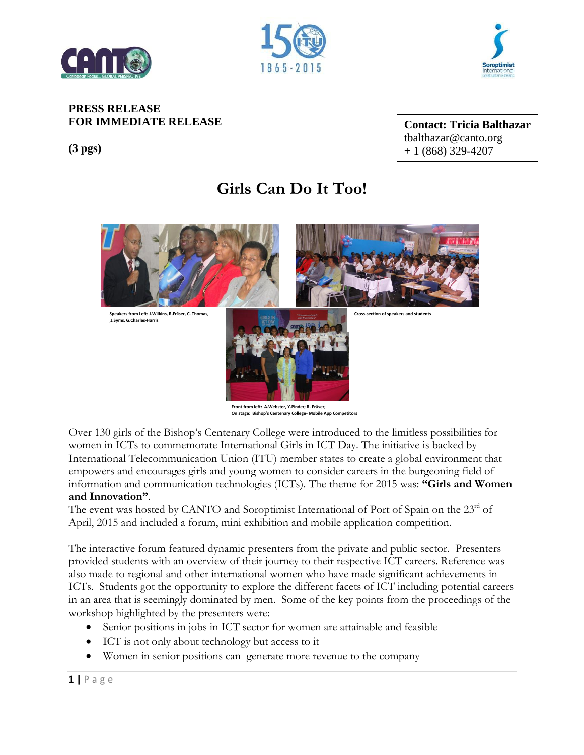





## **PRESS RELEASE FOR IMMEDIATE RELEASE**

**(3 pgs)**

**Contact: Tricia Balthazar**  tbalthazar@canto.org + 1 (868) 329-4207

## **Girls Can Do It Too!**



Over 130 girls of the Bishop's Centenary College were introduced to the limitless possibilities for women in ICTs to commemorate International Girls in ICT Day. The initiative is backed by International Telecommunication Union (ITU) member states to create a global environment that empowers and encourages girls and young women to consider careers in the burgeoning field of information and communication technologies (ICTs). The theme for 2015 was: **"Girls and Women and Innovation"**.

The event was hosted by CANTO and Soroptimist International of Port of Spain on the 23rd of April, 2015 and included a forum, mini exhibition and mobile application competition.

The interactive forum featured dynamic presenters from the private and public sector. Presenters provided students with an overview of their journey to their respective ICT careers. Reference was also made to regional and other international women who have made significant achievements in ICTs. Students got the opportunity to explore the different facets of ICT including potential careers in an area that is seemingly dominated by men. Some of the key points from the proceedings of the workshop highlighted by the presenters were:

- Senior positions in jobs in ICT sector for women are attainable and feasible
- ICT is not only about technology but access to it
- Women in senior positions can generate more revenue to the company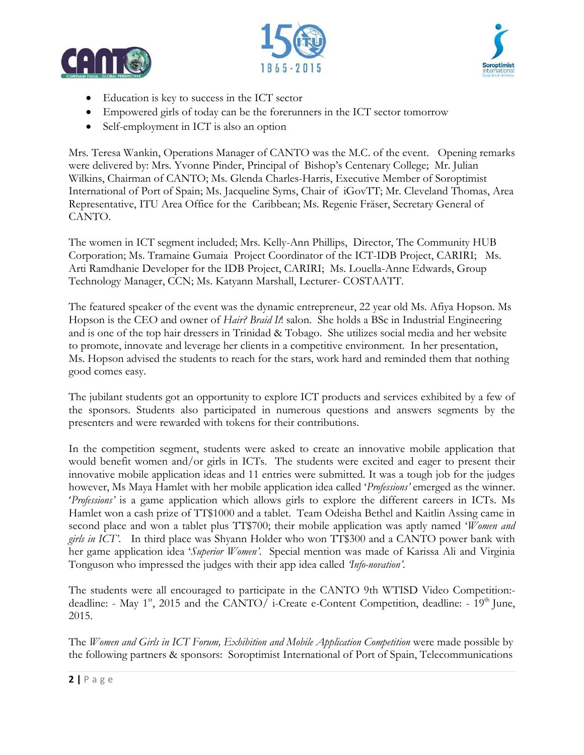





- Education is key to success in the ICT sector
- Empowered girls of today can be the forerunners in the ICT sector tomorrow
- Self-employment in ICT is also an option

Mrs. Teresa Wankin, Operations Manager of CANTO was the M.C. of the event. Opening remarks were delivered by: Mrs. Yvonne Pinder, Principal of Bishop's Centenary College; Mr. Julian Wilkins, Chairman of CANTO; Ms. Glenda Charles-Harris, Executive Member of Soroptimist International of Port of Spain; Ms. Jacqueline Syms, Chair of iGovTT; Mr. Cleveland Thomas, Area Representative, ITU Area Office for the Caribbean; Ms. Regenie Fräser, Secretary General of CANTO.

The women in ICT segment included; Mrs. Kelly-Ann Phillips, Director, The Community HUB Corporation; Ms. Tramaine Gumaia Project Coordinator of the ICT-IDB Project, CARIRI; Ms. Arti Ramdhanie Developer for the IDB Project, CARIRI; Ms. Louella-Anne Edwards, Group Technology Manager, CCN; Ms. Katyann Marshall, Lecturer- COSTAATT.

The featured speaker of the event was the dynamic entrepreneur, 22 year old Ms. Afiya Hopson. Ms Hopson is the CEO and owner of *Hair? Braid It*! salon. She holds a BSc in Industrial Engineering and is one of the top hair dressers in Trinidad & Tobago. She utilizes social media and her website to promote, innovate and leverage her clients in a competitive environment. In her presentation, Ms. Hopson advised the students to reach for the stars, work hard and reminded them that nothing good comes easy.

The jubilant students got an opportunity to explore ICT products and services exhibited by a few of the sponsors. Students also participated in numerous questions and answers segments by the presenters and were rewarded with tokens for their contributions.

In the competition segment, students were asked to create an innovative mobile application that would benefit women and/or girls in ICTs. The students were excited and eager to present their innovative mobile application ideas and 11 entries were submitted. It was a tough job for the judges however, Ms Maya Hamlet with her mobile application idea called '*Professions'* emerged as the winner. '*Professions'* is a game application which allows girls to explore the different careers in ICTs. Ms Hamlet won a cash prize of TT\$1000 and a tablet. Team Odeisha Bethel and Kaitlin Assing came in second place and won a tablet plus TT\$700; their mobile application was aptly named '*Women and girls in ICT'*. In third place was Shyann Holder who won TT\$300 and a CANTO power bank with her game application idea '*Superior Women'*. Special mention was made of Karissa Ali and Virginia Tonguson who impressed the judges with their app idea called *'Info-novation'*.

The students were all encouraged to participate in the CANTO 9th WTISD Video Competition: deadline: - May 1<sup>st</sup>, 2015 and the CANTO/ i-Create e-Content Competition, deadline: - 19<sup>th</sup> June, 2015.

The *Women and Girls in ICT Forum, Exhibition and Mobile Application Competition* were made possible by the following partners & sponsors: Soroptimist International of Port of Spain, Telecommunications